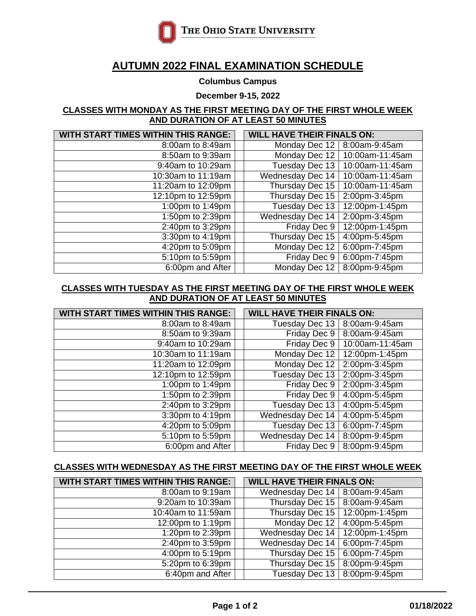

# **AUTUMN 2022 FINAL EXAMINATION SCHEDULE**

#### **Columbus Campus**

**December 9-15, 2022**

#### **CLASSES WITH MONDAY AS THE FIRST MEETING DAY OF THE FIRST WHOLE WEEK AND DURATION OF AT LEAST 50 MINUTES**

| <b>WITH START TIMES WITHIN THIS RANGE:</b> |  | <b>WILL HAVE THEIR FINALS ON:</b> |                 |  |
|--------------------------------------------|--|-----------------------------------|-----------------|--|
| 8:00am to 8:49am                           |  | Monday Dec 12                     | 8:00am-9:45am   |  |
| 8:50am to 9:39am                           |  | Monday Dec 12                     | 10:00am-11:45am |  |
| 9:40am to 10:29am                          |  | <b>Tuesday Dec 13</b>             | 10:00am-11:45am |  |
| 10:30am to 11:19am                         |  | <b>Wednesday Dec 14</b>           | 10:00am-11:45am |  |
| 11:20am to 12:09pm                         |  | Thursday Dec 15                   | 10:00am-11:45am |  |
| 12:10pm to 12:59pm                         |  | Thursday Dec 15                   | 2:00pm-3:45pm   |  |
| 1:00pm to 1:49pm                           |  | Tuesday Dec 13                    | 12:00pm-1:45pm  |  |
| 1:50pm to 2:39pm                           |  | <b>Wednesday Dec 14</b>           | 2:00pm-3:45pm   |  |
| 2:40pm to 3:29pm                           |  | Friday Dec 9                      | 12:00pm-1:45pm  |  |
| 3:30pm to 4:19pm                           |  | Thursday Dec 15                   | 4:00pm-5:45pm   |  |
| 4:20pm to 5:09pm                           |  | Monday Dec 12                     | 6:00pm-7:45pm   |  |
| 5:10pm to 5:59pm                           |  | Friday Dec 9                      | 6:00pm-7:45pm   |  |
| 6:00pm and After                           |  | Monday Dec 12                     | 8:00pm-9:45pm   |  |

#### **CLASSES WITH TUESDAY AS THE FIRST MEETING DAY OF THE FIRST WHOLE WEEK AND DURATION OF AT LEAST 50 MINUTES**

| <b>WITH START TIMES WITHIN THIS RANGE:</b> |  | <b>WILL HAVE THEIR FINALS ON:</b> |                 |
|--------------------------------------------|--|-----------------------------------|-----------------|
| 8:00am to 8:49am                           |  | Tuesday Dec 13                    | 8:00am-9:45am   |
| 8:50am to 9:39am                           |  | Friday Dec 9                      | 8:00am-9:45am   |
| 9:40am to 10:29am                          |  | Friday Dec 9                      | 10:00am-11:45am |
| 10:30am to 11:19am                         |  | Monday Dec 12                     | 12:00pm-1:45pm  |
| 11:20am to 12:09pm                         |  | Monday Dec 12                     | 2:00pm-3:45pm   |
| 12:10pm to 12:59pm                         |  | Tuesday Dec 13                    | 2:00pm-3:45pm   |
| 1:00pm to 1:49pm                           |  | Friday Dec 9                      | 2:00pm-3:45pm   |
| 1:50pm to 2:39pm                           |  | Friday Dec 9                      | 4:00pm-5:45pm   |
| 2:40pm to 3:29pm                           |  | Tuesday Dec 13                    | 4:00pm-5:45pm   |
| 3:30pm to 4:19pm                           |  | <b>Wednesday Dec 14</b>           | 4:00pm-5:45pm   |
| 4:20pm to 5:09pm                           |  | Tuesday Dec 13                    | 6:00pm-7:45pm   |
| 5:10pm to 5:59pm                           |  | <b>Wednesday Dec 14</b>           | 8:00pm-9:45pm   |
| 6:00pm and After                           |  | Friday Dec 9                      | 8:00pm-9:45pm   |

### **CLASSES WITH WEDNESDAY AS THE FIRST MEETING DAY OF THE FIRST WHOLE WEEK**

| <b>WITH START TIMES WITHIN THIS RANGE:</b> | <b>WILL HAVE THEIR FINALS ON:</b> |                |  |
|--------------------------------------------|-----------------------------------|----------------|--|
| 8:00am to 9:19am                           | Wednesday Dec 14   8:00am-9:45am  |                |  |
| 9:20am to 10:39am                          | Thursday Dec 15                   | 8:00am-9:45am  |  |
| 10:40am to 11:59am                         | Thursday Dec 15                   | 12:00pm-1:45pm |  |
| 12:00pm to 1:19pm                          | Monday Dec 12                     | 4:00pm-5:45pm  |  |
| 1:20pm to 2:39pm                           | <b>Wednesday Dec 14</b>           | 12:00pm-1:45pm |  |
| 2:40pm to 3:59pm                           | <b>Wednesday Dec 14</b>           | 6:00pm-7:45pm  |  |
| 4:00pm to 5:19pm                           | Thursday Dec 15                   | 6:00pm-7:45pm  |  |
| 5:20pm to 6:39pm                           | Thursday Dec 15                   | 8:00pm-9:45pm  |  |
| 6:40pm and After                           | Tuesday Dec 13                    | 8:00pm-9:45pm  |  |